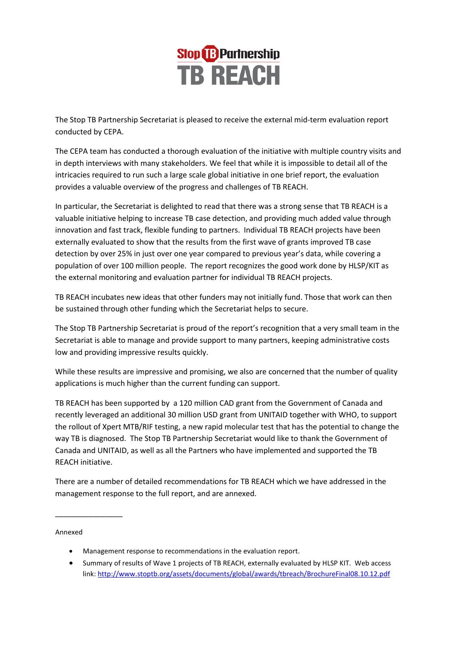

The Stop TB Partnership Secretariat is pleased to receive the external mid-term evaluation report conducted by CEPA.

The CEPA team has conducted a thorough evaluation of the initiative with multiple country visits and in depth interviews with many stakeholders. We feel that while it is impossible to detail all of the intricacies required to run such a large scale global initiative in one brief report, the evaluation provides a valuable overview of the progress and challenges of TB REACH.

In particular, the Secretariat is delighted to read that there was a strong sense that TB REACH is a valuable initiative helping to increase TB case detection, and providing much added value through innovation and fast track, flexible funding to partners. Individual TB REACH projects have been externally evaluated to show that the results from the first wave of grants improved TB case detection by over 25% in just over one year compared to previous year's data, while covering a population of over 100 million people. The report recognizes the good work done by HLSP/KIT as the external monitoring and evaluation partner for individual TB REACH projects.

TB REACH incubates new ideas that other funders may not initially fund. Those that work can then be sustained through other funding which the Secretariat helps to secure.

The Stop TB Partnership Secretariat is proud of the report's recognition that a very small team in the Secretariat is able to manage and provide support to many partners, keeping administrative costs low and providing impressive results quickly.

While these results are impressive and promising, we also are concerned that the number of quality applications is much higher than the current funding can support.

TB REACH has been supported by a 120 million CAD grant from the Government of Canada and recently leveraged an additional 30 million USD grant from UNITAID together with WHO, to support the rollout of Xpert MTB/RIF testing, a new rapid molecular test that has the potential to change the way TB is diagnosed. The Stop TB Partnership Secretariat would like to thank the Government of Canada and UNITAID, as well as all the Partners who have implemented and supported the TB REACH initiative.

There are a number of detailed recommendations for TB REACH which we have addressed in the management response to the full report, and are annexed.

Annexed

\_\_\_\_\_\_\_\_\_\_\_\_\_\_\_\_

- Management response to recommendations in the evaluation report.
- Summary of results of Wave 1 projects of TB REACH, externally evaluated by HLSP KIT. Web access link[: http://www.stoptb.org/assets/documents/global/awards/tbreach/BrochureFinal08.10.12.pdf](http://www.stoptb.org/assets/documents/global/awards/tbreach/BrochureFinal08.10.12.pdf)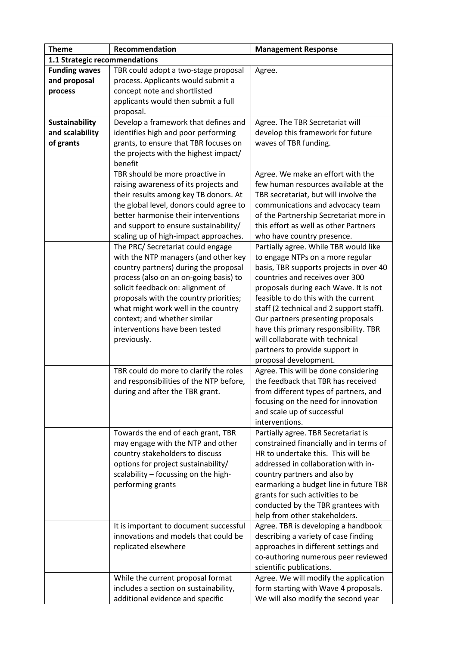| <b>Theme</b>                  | Recommendation                          | <b>Management Response</b>               |
|-------------------------------|-----------------------------------------|------------------------------------------|
| 1.1 Strategic recommendations |                                         |                                          |
| <b>Funding waves</b>          | TBR could adopt a two-stage proposal    | Agree.                                   |
| and proposal                  | process. Applicants would submit a      |                                          |
| process                       | concept note and shortlisted            |                                          |
|                               | applicants would then submit a full     |                                          |
|                               | proposal.                               |                                          |
| Sustainability                | Develop a framework that defines and    | Agree. The TBR Secretariat will          |
| and scalability               | identifies high and poor performing     | develop this framework for future        |
| of grants                     | grants, to ensure that TBR focuses on   | waves of TBR funding.                    |
|                               | the projects with the highest impact/   |                                          |
|                               | benefit                                 |                                          |
|                               | TBR should be more proactive in         | Agree. We make an effort with the        |
|                               | raising awareness of its projects and   | few human resources available at the     |
|                               | their results among key TB donors. At   | TBR secretariat, but will involve the    |
|                               | the global level, donors could agree to | communications and advocacy team         |
|                               | better harmonise their interventions    | of the Partnership Secretariat more in   |
|                               | and support to ensure sustainability/   | this effort as well as other Partners    |
|                               | scaling up of high-impact approaches.   | who have country presence.               |
|                               | The PRC/ Secretariat could engage       | Partially agree. While TBR would like    |
|                               | with the NTP managers (and other key    | to engage NTPs on a more regular         |
|                               | country partners) during the proposal   | basis, TBR supports projects in over 40  |
|                               | process (also on an on-going basis) to  | countries and receives over 300          |
|                               | solicit feedback on: alignment of       | proposals during each Wave. It is not    |
|                               | proposals with the country priorities;  | feasible to do this with the current     |
|                               | what might work well in the country     | staff (2 technical and 2 support staff). |
|                               | context; and whether similar            | Our partners presenting proposals        |
|                               | interventions have been tested          | have this primary responsibility. TBR    |
|                               | previously.                             | will collaborate with technical          |
|                               |                                         | partners to provide support in           |
|                               |                                         | proposal development.                    |
|                               | TBR could do more to clarify the roles  | Agree. This will be done considering     |
|                               | and responsibilities of the NTP before, | the feedback that TBR has received       |
|                               | during and after the TBR grant.         | from different types of partners, and    |
|                               |                                         | focusing on the need for innovation      |
|                               |                                         | and scale up of successful               |
|                               |                                         | interventions.                           |
|                               | Towards the end of each grant, TBR      | Partially agree. TBR Secretariat is      |
|                               | may engage with the NTP and other       | constrained financially and in terms of  |
|                               | country stakeholders to discuss         | HR to undertake this. This will be       |
|                               | options for project sustainability/     | addressed in collaboration with in-      |
|                               | scalability - focussing on the high-    | country partners and also by             |
|                               | performing grants                       | earmarking a budget line in future TBR   |
|                               |                                         | grants for such activities to be         |
|                               |                                         | conducted by the TBR grantees with       |
|                               |                                         | help from other stakeholders.            |
|                               | It is important to document successful  | Agree. TBR is developing a handbook      |
|                               | innovations and models that could be    | describing a variety of case finding     |
|                               | replicated elsewhere                    | approaches in different settings and     |
|                               |                                         | co-authoring numerous peer reviewed      |
|                               |                                         | scientific publications.                 |
|                               | While the current proposal format       | Agree. We will modify the application    |
|                               | includes a section on sustainability,   | form starting with Wave 4 proposals.     |
|                               | additional evidence and specific        | We will also modify the second year      |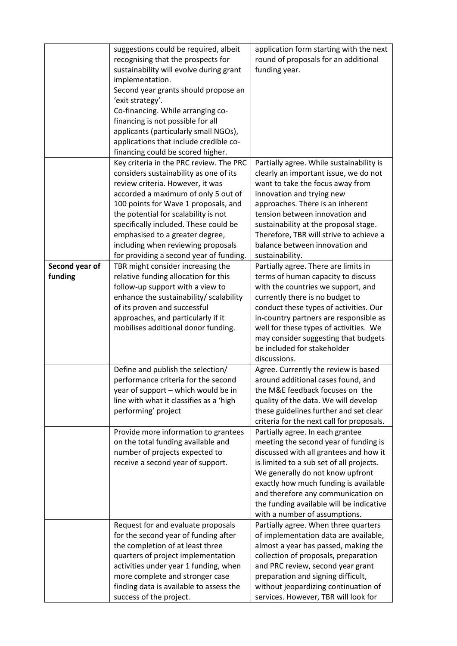|                           | suggestions could be required, albeit<br>recognising that the prospects for<br>sustainability will evolve during grant<br>implementation.<br>Second year grants should propose an<br>'exit strategy'.<br>Co-financing. While arranging co-<br>financing is not possible for all<br>applicants (particularly small NGOs),<br>applications that include credible co-<br>financing could be scored higher.   | application form starting with the next<br>round of proposals for an additional<br>funding year.                                                                                                                                                                                                                                                                         |
|---------------------------|-----------------------------------------------------------------------------------------------------------------------------------------------------------------------------------------------------------------------------------------------------------------------------------------------------------------------------------------------------------------------------------------------------------|--------------------------------------------------------------------------------------------------------------------------------------------------------------------------------------------------------------------------------------------------------------------------------------------------------------------------------------------------------------------------|
|                           | Key criteria in the PRC review. The PRC<br>considers sustainability as one of its<br>review criteria. However, it was<br>accorded a maximum of only 5 out of<br>100 points for Wave 1 proposals, and<br>the potential for scalability is not<br>specifically included. These could be<br>emphasised to a greater degree,<br>including when reviewing proposals<br>for providing a second year of funding. | Partially agree. While sustainability is<br>clearly an important issue, we do not<br>want to take the focus away from<br>innovation and trying new<br>approaches. There is an inherent<br>tension between innovation and<br>sustainability at the proposal stage.<br>Therefore, TBR will strive to achieve a<br>balance between innovation and<br>sustainability.        |
| Second year of<br>funding | TBR might consider increasing the<br>relative funding allocation for this<br>follow-up support with a view to<br>enhance the sustainability/ scalability<br>of its proven and successful<br>approaches, and particularly if it<br>mobilises additional donor funding.                                                                                                                                     | Partially agree. There are limits in<br>terms of human capacity to discuss<br>with the countries we support, and<br>currently there is no budget to<br>conduct these types of activities. Our<br>in-country partners are responsible as<br>well for these types of activities. We<br>may consider suggesting that budgets<br>be included for stakeholder<br>discussions. |
|                           | Define and publish the selection/<br>performance criteria for the second<br>year of support - which would be in<br>line with what it classifies as a 'high<br>performing' project                                                                                                                                                                                                                         | Agree. Currently the review is based<br>around additional cases found, and<br>the M&E feedback focuses on the<br>quality of the data. We will develop<br>these guidelines further and set clear<br>criteria for the next call for proposals.                                                                                                                             |
|                           | Provide more information to grantees<br>on the total funding available and<br>number of projects expected to<br>receive a second year of support.                                                                                                                                                                                                                                                         | Partially agree. In each grantee<br>meeting the second year of funding is<br>discussed with all grantees and how it<br>is limited to a sub set of all projects.<br>We generally do not know upfront<br>exactly how much funding is available<br>and therefore any communication on<br>the funding available will be indicative<br>with a number of assumptions.          |
|                           | Request for and evaluate proposals<br>for the second year of funding after<br>the completion of at least three<br>quarters of project implementation<br>activities under year 1 funding, when<br>more complete and stronger case<br>finding data is available to assess the<br>success of the project.                                                                                                    | Partially agree. When three quarters<br>of implementation data are available,<br>almost a year has passed, making the<br>collection of proposals, preparation<br>and PRC review, second year grant<br>preparation and signing difficult,<br>without jeopardizing continuation of<br>services. However, TBR will look for                                                 |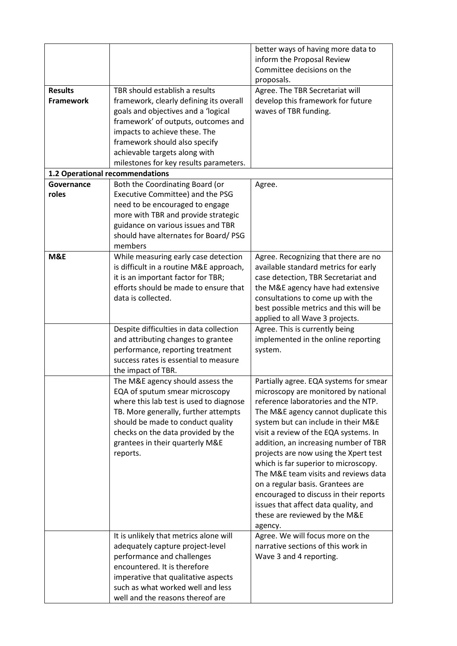|                                 |                                         | better ways of having more data to          |
|---------------------------------|-----------------------------------------|---------------------------------------------|
|                                 |                                         | inform the Proposal Review                  |
|                                 |                                         | Committee decisions on the                  |
|                                 |                                         | proposals.                                  |
| <b>Results</b>                  | TBR should establish a results          | Agree. The TBR Secretariat will             |
| <b>Framework</b>                | framework, clearly defining its overall | develop this framework for future           |
|                                 | goals and objectives and a 'logical     | waves of TBR funding.                       |
|                                 | framework' of outputs, outcomes and     |                                             |
|                                 | impacts to achieve these. The           |                                             |
|                                 | framework should also specify           |                                             |
|                                 | achievable targets along with           |                                             |
|                                 | milestones for key results parameters.  |                                             |
| 1.2 Operational recommendations |                                         |                                             |
| Governance                      | Both the Coordinating Board (or         | Agree.                                      |
| roles                           | Executive Committee) and the PSG        |                                             |
|                                 | need to be encouraged to engage         |                                             |
|                                 | more with TBR and provide strategic     |                                             |
|                                 | guidance on various issues and TBR      |                                             |
|                                 | should have alternates for Board/PSG    |                                             |
|                                 | members                                 |                                             |
| M&E                             | While measuring early case detection    | Agree. Recognizing that there are no        |
|                                 | is difficult in a routine M&E approach, | available standard metrics for early        |
|                                 | it is an important factor for TBR;      | case detection, TBR Secretariat and         |
|                                 | efforts should be made to ensure that   | the M&E agency have had extensive           |
|                                 | data is collected.                      | consultations to come up with the           |
|                                 |                                         | best possible metrics and this will be      |
|                                 |                                         | applied to all Wave 3 projects.             |
|                                 | Despite difficulties in data collection | Agree. This is currently being              |
|                                 | and attributing changes to grantee      | implemented in the online reporting         |
|                                 | performance, reporting treatment        | system.                                     |
|                                 | success rates is essential to measure   |                                             |
|                                 | the impact of TBR.                      |                                             |
|                                 | The M&E agency should assess the        | Partially agree. EQA systems for smear      |
|                                 | EQA of sputum smear microscopy          | microscopy are monitored by national        |
|                                 | where this lab test is used to diagnose | reference laboratories and the NTP.         |
|                                 | TB. More generally, further attempts    | The M&E agency cannot duplicate this        |
|                                 | should be made to conduct quality       | system but can include in their M&E         |
|                                 | checks on the data provided by the      | visit a review of the EQA systems. In       |
|                                 | grantees in their quarterly M&E         | addition, an increasing number of TBR       |
|                                 | reports.                                | projects are now using the Xpert test       |
|                                 |                                         | which is far superior to microscopy.        |
|                                 |                                         | The M&E team visits and reviews data        |
|                                 |                                         | on a regular basis. Grantees are            |
|                                 |                                         | encouraged to discuss in their reports      |
|                                 |                                         | issues that affect data quality, and        |
|                                 |                                         | these are reviewed by the M&E               |
|                                 | It is unlikely that metrics alone will  | agency.<br>Agree. We will focus more on the |
|                                 | adequately capture project-level        | narrative sections of this work in          |
|                                 | performance and challenges              | Wave 3 and 4 reporting.                     |
|                                 | encountered. It is therefore            |                                             |
|                                 | imperative that qualitative aspects     |                                             |
|                                 | such as what worked well and less       |                                             |
|                                 | well and the reasons thereof are        |                                             |